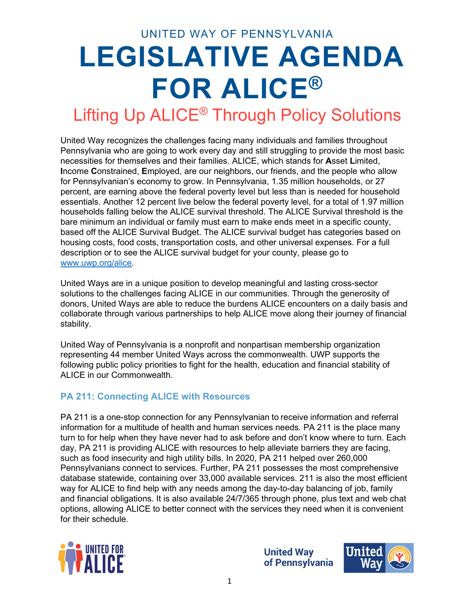UNITED WAY OF PENNSYLVANIA

# **LEGISLATIVE AGENDA FOR ALICE®**

### Lifting Up ALICE® Through Policy Solutions

United Way recognizes the challenges facing many individuals and families throughout Pennsylvania who are going to work every day and still struggling to provide the most basic necessities for themselves and their families. ALICE, which stands for **A**sset **L**imited, **I**ncome **C**onstrained, **E**mployed, are our neighbors, our friends, and the people who allow for Pennsylvanian's economy to grow. In Pennsylvania, 1.35 million households, or 27 percent, are earning above the federal poverty level but less than is needed for household essentials. Another 12 percent live below the federal poverty level, for a total of 1.97 million households falling below the ALICE survival threshold. The ALICE Survival threshold is the bare minimum an individual or family must earn to make ends meet in a specific county, based off the ALICE Survival Budget. The ALICE survival budget has categories based on housing costs, food costs, transportation costs, and other universal expenses. For a full description or to see the ALICE survival budget for your county, please go to [www.uwp.org/alice.](http://www.uwp.org/alice)

United Ways are in a unique position to develop meaningful and lasting cross-sector solutions to the challenges facing ALICE in our communities. Through the generosity of donors, United Ways are able to reduce the burdens ALICE encounters on a daily basis and collaborate through various partnerships to help ALICE move along their journey of financial stability.

United Way of Pennsylvania is a nonprofit and nonpartisan membership organization representing 44 member United Ways across the commonwealth. UWP supports the following public policy priorities to fight for the health, education and financial stability of ALICE in our Commonwealth.

#### **PA 211: Connecting ALICE with Resources**

PA 211 is a one-stop connection for any Pennsylvanian to receive information and referral information for a multitude of health and human services needs. PA 211 is the place many turn to for help when they have never had to ask before and don't know where to turn. Each day, PA 211 is providing ALICE with resources to help alleviate barriers they are facing, such as food insecurity and high utility bills. In 2020, PA 211 helped over 260,000 Pennsylvanians connect to services. Further, PA 211 possesses the most comprehensive database statewide, containing over 33,000 available services. 211 is also the most efficient way for ALICE to find help with any needs among the day-to-day balancing of job, family and financial obligations. It is also available 24/7/365 through phone, plus text and web chat options, allowing ALICE to better connect with the services they need when it is convenient for their schedule.



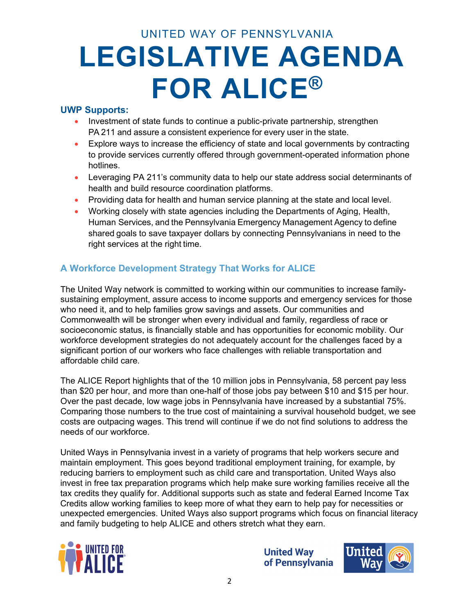#### **UWP Supports:**

- Investment of state funds to continue a public-private partnership, strengthen PA 211 and assure a consistent experience for every user in the state.
- Explore ways to increase the efficiency of state and local governments by contracting to provide services currently offered through government-operated information phone hotlines.
- Leveraging PA 211's community data to help our state address social determinants of health and build resource coordination platforms.
- Providing data for health and human service planning at the state and local level.
- Working closely with state agencies including the Departments of Aging, Health, Human Services, and the Pennsylvania Emergency Management Agency to define shared goals to save taxpayer dollars by connecting Pennsylvanians in need to the right services at the right time.

#### **A Workforce Development Strategy That Works for ALICE**

The United Way network is committed to working within our communities to increase familysustaining employment, assure access to income supports and emergency services for those who need it, and to help families grow savings and assets. Our communities and Commonwealth will be stronger when every individual and family, regardless of race or socioeconomic status, is financially stable and has opportunities for economic mobility. Our workforce development strategies do not adequately account for the challenges faced by a significant portion of our workers who face challenges with reliable transportation and affordable child care.

The ALICE Report highlights that of the 10 million jobs in Pennsylvania, 58 percent pay less than \$20 per hour, and more than one-half of those jobs pay between \$10 and \$15 per hour. Over the past decade, low wage jobs in Pennsylvania have increased by a substantial 75%. Comparing those numbers to the true cost of maintaining a survival household budget, we see costs are outpacing wages. This trend will continue if we do not find solutions to address the needs of our workforce.

United Ways in Pennsylvania invest in a variety of programs that help workers secure and maintain employment. This goes beyond traditional employment training, for example, by reducing barriers to employment such as child care and transportation. United Ways also invest in free tax preparation programs which help make sure working families receive all the tax credits they qualify for. Additional supports such as state and federal Earned Income Tax Credits allow working families to keep more of what they earn to help pay for necessities or unexpected emergencies. United Ways also support programs which focus on financial literacy and family budgeting to help ALICE and others stretch what they earn.



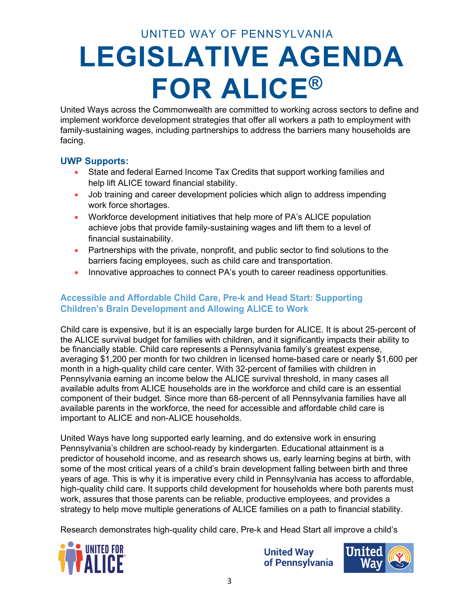United Ways across the Commonwealth are committed to working across sectors to define and implement workforce development strategies that offer all workers a path to employment with family-sustaining wages, including partnerships to address the barriers many households are facing.

#### **UWP Supports:**

- State and federal Earned Income Tax Credits that support working families and help lift ALICE toward financial stability.
- Job training and career development policies which align to address impending work force shortages.
- Workforce development initiatives that help more of PA's ALICE population achieve jobs that provide family-sustaining wages and lift them to a level of financial sustainability.
- Partnerships with the private, nonprofit, and public sector to find solutions to the barriers facing employees, such as child care and transportation.
- Innovative approaches to connect PA's youth to career readiness opportunities.

#### **Accessible and Affordable Child Care, Pre-k and Head Start: Supporting Children's Brain Development and Allowing ALICE to Work**

Child care is expensive, but it is an especially large burden for ALICE. It is about 25-percent of the ALICE survival budget for families with children, and it significantly impacts their ability to be financially stable. Child care represents a Pennsylvania family's greatest expense, averaging \$1,200 per month for two children in licensed home-based care or nearly \$1,600 per month in a high-quality child care center. With 32-percent of families with children in Pennsylvania earning an income below the ALICE survival threshold, in many cases all available adults from ALICE households are in the workforce and child care is an essential component of their budget. Since more than 68-percent of all Pennsylvania families have all available parents in the workforce, the need for accessible and affordable child care is important to ALICE and non-ALICE households.

United Ways have long supported early learning, and do extensive work in ensuring Pennsylvania's children are school-ready by kindergarten. Educational attainment is a predictor of household income, and as research shows us, early learning begins at birth, with some of the most critical years of a child's brain development falling between birth and three years of age. This is why it is imperative every child in Pennsylvania has access to affordable, high-quality child care. It supports child development for households where both parents must work, assures that those parents can be reliable, productive employees, and provides a strategy to help move multiple generations of ALICE families on a path to financial stability.

Research demonstrates high-quality child care, Pre-k and Head Start all improve a child's



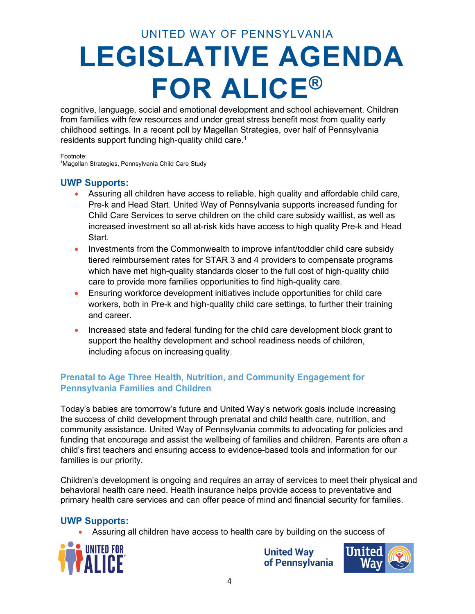cognitive, language, social and emotional development and school achievement. Children from families with few resources and under great stress benefit most from quality early childhood settings. In a recent poll by Magellan Strategies, over half of Pennsylvania residents support funding high-quality child care.<sup>1</sup>

Footnote: 1 Magellan Strategies, Pennsylvania Child Care Study

#### **UWP Supports:**

- Assuring all children have access to reliable, high quality and affordable child care, Pre-k and Head Start. United Way of Pennsylvania supports increased funding for Child Care Services to serve children on the child care subsidy waitlist, as well as increased investment so all at-risk kids have access to high quality Pre-k and Head Start.
- Investments from the Commonwealth to improve infant/toddler child care subsidy tiered reimbursement rates for STAR 3 and 4 providers to compensate programs which have met high-quality standards closer to the full cost of high-quality child care to provide more families opportunities to find high-quality care.
- Ensuring workforce development initiatives include opportunities for child care workers, both in Pre-k and high-quality child care settings, to further their training and career.
- Increased state and federal funding for the child care development block grant to support the healthy development and school readiness needs of children, including afocus on increasing quality.

#### **Prenatal to Age Three Health, Nutrition, and Community Engagement for Pennsylvania Families and Children**

Today's babies are tomorrow's future and United Way's network goals include increasing the success of child development through prenatal and child health care, nutrition, and community assistance. United Way of Pennsylvania commits to advocating for policies and funding that encourage and assist the wellbeing of families and children. Parents are often a child's first teachers and ensuring access to evidence-based tools and information for our families is our priority.

Children's development is ongoing and requires an array of services to meet their physical and behavioral health care need. Health insurance helps provide access to preventative and primary health care services and can offer peace of mind and financial security for families.

#### **UWP Supports:**

• Assuring all children have access to health care by building on the success of